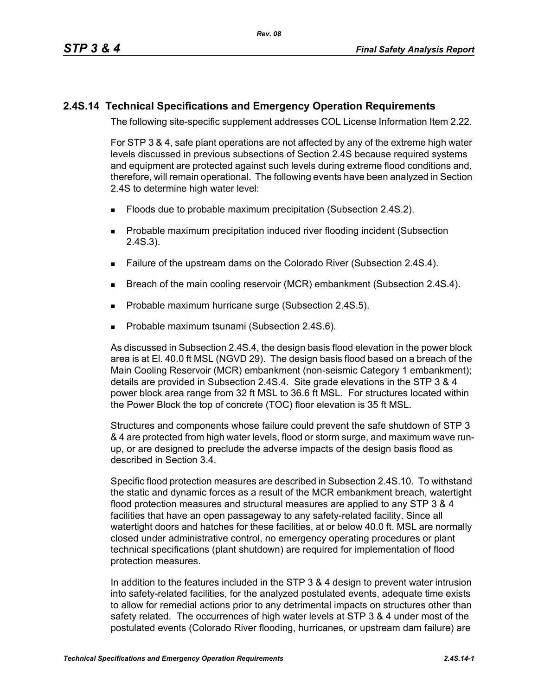## **2.4S.14 Technical Specifications and Emergency Operation Requirements**

The following site-specific supplement addresses COL License Information Item 2.22.

For STP 3 & 4, safe plant operations are not affected by any of the extreme high water levels discussed in previous subsections of Section 2.4S because required systems and equipment are protected against such levels during extreme flood conditions and, therefore, will remain operational. The following events have been analyzed in Section 2.4S to determine high water level:

- **Floods due to probable maximum precipitation (Subsection 2.4S.2).**
- **Probable maximum precipitation induced river flooding incident (Subsection** 2.4S.3).
- Failure of the upstream dams on the Colorado River (Subsection 2.4S.4).
- **Breach of the main cooling reservoir (MCR) embankment (Subsection 2.4S.4).**
- **Probable maximum hurricane surge (Subsection 2.4S.5).**
- **Probable maximum tsunami (Subsection 2.4S.6).**

As discussed in Subsection 2.4S.4, the design basis flood elevation in the power block area is at El. 40.0 ft MSL (NGVD 29). The design basis flood based on a breach of the Main Cooling Reservoir (MCR) embankment (non-seismic Category 1 embankment); details are provided in Subsection 2.4S.4. Site grade elevations in the STP 3 & 4 power block area range from 32 ft MSL to 36.6 ft MSL. For structures located within the Power Block the top of concrete (TOC) floor elevation is 35 ft MSL.

Structures and components whose failure could prevent the safe shutdown of STP 3 & 4 are protected from high water levels, flood or storm surge, and maximum wave runup, or are designed to preclude the adverse impacts of the design basis flood as described in Section 3.4.

Specific flood protection measures are described in Subsection 2.4S.10. To withstand the static and dynamic forces as a result of the MCR embankment breach, watertight flood protection measures and structural measures are applied to any STP 3 & 4 facilities that have an open passageway to any safety-related facility. Since all watertight doors and hatches for these facilities, at or below 40.0 ft. MSL are normally closed under administrative control, no emergency operating procedures or plant technical specifications (plant shutdown) are required for implementation of flood protection measures.

In addition to the features included in the STP 3 & 4 design to prevent water intrusion into safety-related facilities, for the analyzed postulated events, adequate time exists to allow for remedial actions prior to any detrimental impacts on structures other than safety related. The occurrences of high water levels at STP 3 & 4 under most of the postulated events (Colorado River flooding, hurricanes, or upstream dam failure) are